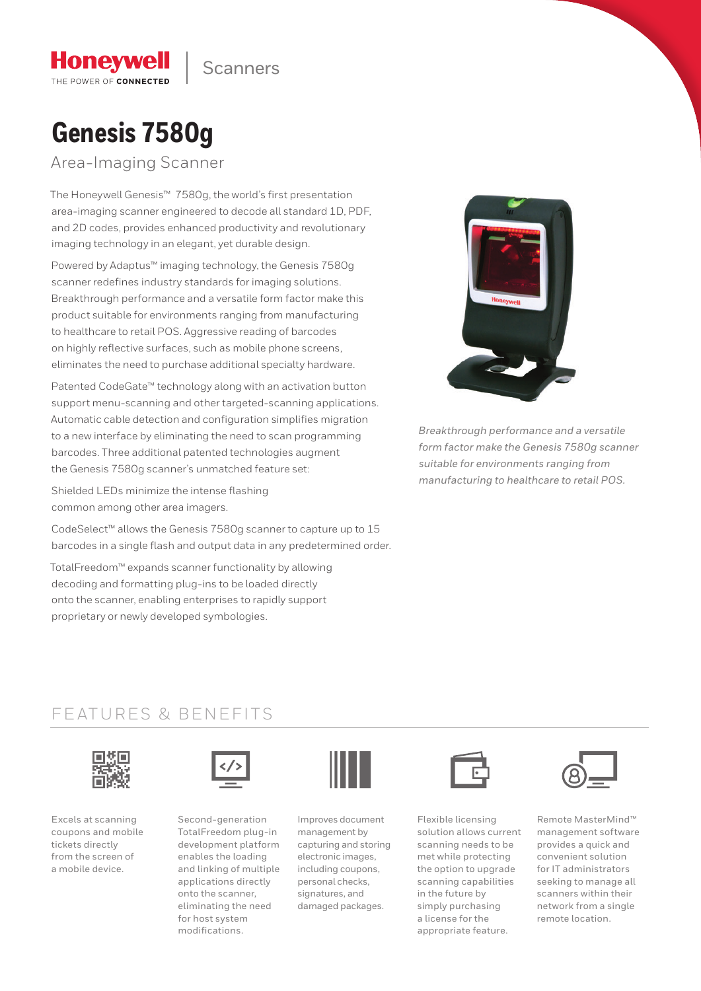**Scanners** 

# **Genesis 7580g**

**Honeywell** THE POWER OF CONNECTED

Area-Imaging Scanner

The Honeywell Genesis™ 7580g, the world's first presentation area-imaging scanner engineered to decode all standard 1D, PDF, and 2D codes, provides enhanced productivity and revolutionary imaging technology in an elegant, yet durable design.

Powered by Adaptus™ imaging technology, the Genesis 7580g scanner redefines industry standards for imaging solutions. Breakthrough performance and a versatile form factor make this product suitable for environments ranging from manufacturing to healthcare to retail POS. Aggressive reading of barcodes on highly reflective surfaces, such as mobile phone screens, eliminates the need to purchase additional specialty hardware.

Patented CodeGate™ technology along with an activation button support menu-scanning and other targeted-scanning applications. Automatic cable detection and configuration simplifies migration to a new interface by eliminating the need to scan programming barcodes. Three additional patented technologies augment the Genesis 7580g scanner's unmatched feature set:

Shielded LEDs minimize the intense flashing common among other area imagers.

CodeSelect™ allows the Genesis 7580g scanner to capture up to 15 barcodes in a single flash and output data in any predetermined order.

TotalFreedom™ expands scanner functionality by allowing decoding and formatting plug-ins to be loaded directly onto the scanner, enabling enterprises to rapidly support proprietary or newly developed symbologies.



*Breakthrough performance and a versatile form factor make the Genesis 7580g scanner suitable for environments ranging from manufacturing to healthcare to retail POS.*

### FEATURES & BENEFITS



Excels at scanning coupons and mobile tickets directly from the screen of a mobile device.



Second-generation TotalFreedom plug-in development platform enables the loading and linking of multiple applications directly onto the scanner, eliminating the need for host system modifications.



Improves document management by capturing and storing electronic images, including coupons, personal checks, signatures, and damaged packages.



Flexible licensing solution allows current scanning needs to be met while protecting the option to upgrade scanning capabilities in the future by simply purchasing a license for the appropriate feature.



Remote MasterMind™ management software provides a quick and convenient solution for IT administrators seeking to manage all scanners within their network from a single remote location.